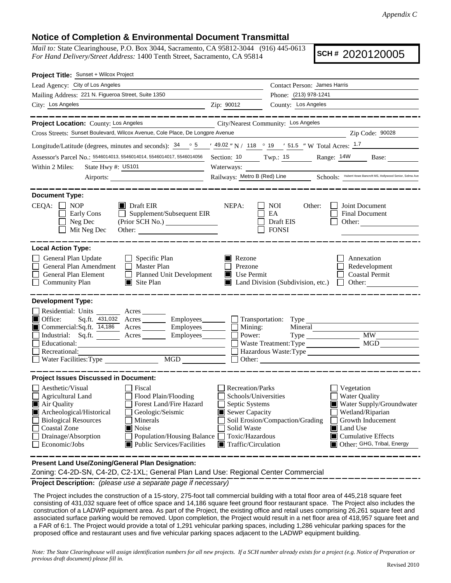## **Notice of Completion & Environmental Document Transmittal**

*Mail to:* State Clearinghouse, P.O. Box 3044, Sacramento, CA 95812-3044 (916) 445-0613 *For Hand Delivery/Street Address:* 1400 Tenth Street, Sacramento, CA 95814

**SCH #** 2020120005

| Project Title: Sunset + Wilcox Project                                                                                                                                                                                                                                                                                                                                                                                                                                                                                                                                                                                                                                                                                                                                           |  |  |  |  |
|----------------------------------------------------------------------------------------------------------------------------------------------------------------------------------------------------------------------------------------------------------------------------------------------------------------------------------------------------------------------------------------------------------------------------------------------------------------------------------------------------------------------------------------------------------------------------------------------------------------------------------------------------------------------------------------------------------------------------------------------------------------------------------|--|--|--|--|
| Lead Agency: City of Los Angeles<br>Contact Person: James Harris                                                                                                                                                                                                                                                                                                                                                                                                                                                                                                                                                                                                                                                                                                                 |  |  |  |  |
| Mailing Address: 221 N. Figueroa Street, Suite 1350<br>Phone: (213) 978-1241                                                                                                                                                                                                                                                                                                                                                                                                                                                                                                                                                                                                                                                                                                     |  |  |  |  |
| City: Los Angeles<br>County: Los Angeles<br>Zip: 90012                                                                                                                                                                                                                                                                                                                                                                                                                                                                                                                                                                                                                                                                                                                           |  |  |  |  |
| ______________________<br>__________________<br>Project Location: County: Los Angeles<br>City/Nearest Community: Los Angeles                                                                                                                                                                                                                                                                                                                                                                                                                                                                                                                                                                                                                                                     |  |  |  |  |
| Cross Streets: Sunset Boulevard, Wilcox Avenue, Cole Place, De Longpre Avenue<br>Zip Code: 90028                                                                                                                                                                                                                                                                                                                                                                                                                                                                                                                                                                                                                                                                                 |  |  |  |  |
| Longitude/Latitude (degrees, minutes and seconds): $34 \cdot 95 \cdot 149.02$ " N / 118 $\cdot$ 19 $\cdot$ 51.5 " W Total Acres: $1.7$                                                                                                                                                                                                                                                                                                                                                                                                                                                                                                                                                                                                                                           |  |  |  |  |
| Assessor's Parcel No.: 5546014013, 5546014014, 5546014017, 5546014056 Section: 10 Twp.: 1S Range: 14W Base:                                                                                                                                                                                                                                                                                                                                                                                                                                                                                                                                                                                                                                                                      |  |  |  |  |
| State Hwy #: US101<br>Waterways:<br>Within 2 Miles:                                                                                                                                                                                                                                                                                                                                                                                                                                                                                                                                                                                                                                                                                                                              |  |  |  |  |
| Railways: Metro B (Red) Line Schools: Hubert Howe Bancroft MS, Hollywood Senior, Selma Ave                                                                                                                                                                                                                                                                                                                                                                                                                                                                                                                                                                                                                                                                                       |  |  |  |  |
|                                                                                                                                                                                                                                                                                                                                                                                                                                                                                                                                                                                                                                                                                                                                                                                  |  |  |  |  |
| <b>Document Type:</b><br>$CEQA: \Box NOP$<br>Draft EIR<br>NEPA:<br>$\Box$ NOI<br>Other:<br>Joint Document<br>$\Box$ Supplement/Subsequent EIR<br>Early Cons<br>EA<br><b>Final Document</b><br>Draft EIS<br>$\Box$ Neg Dec<br>Other:<br>Mit Neg Dec<br><b>FONSI</b>                                                                                                                                                                                                                                                                                                                                                                                                                                                                                                               |  |  |  |  |
| <b>Local Action Type:</b><br>General Plan Update<br>$\Box$ Specific Plan<br>Rezone<br>Annexation<br>General Plan Amendment<br>Master Plan<br>Prezone<br>Redevelopment<br>Planned Unit Development<br>General Plan Element<br>Use Permit<br><b>Coastal Permit</b><br>$\Box$ Land Division (Subdivision, etc.) $\Box$<br>$\blacksquare$ Site Plan<br>Other:                                                                                                                                                                                                                                                                                                                                                                                                                        |  |  |  |  |
| <b>Development Type:</b><br>Residential: Units ________ Acres _______<br>Sq.ft. 431,032 Acres Employees<br>$\blacksquare$ Office:<br>Mining:<br>Power:<br>Commercial:Sq.ft. 14,186 Acres ________ Employees_______<br>Industrial: Sq.ft. _______ Acres _______ Employees_______<br>Type MW_<br>Educational:<br><u> 1989 - Johann Barn, mars ann an t-Amhain Aonaich an t-Aonaich an t-Aonaich ann an t-Aonaich ann an t-Aonaich</u><br>Hazardous Waste: Type<br>Recreational:                                                                                                                                                                                                                                                                                                    |  |  |  |  |
| <b>Project Issues Discussed in Document:</b>                                                                                                                                                                                                                                                                                                                                                                                                                                                                                                                                                                                                                                                                                                                                     |  |  |  |  |
| $\Box$ Aesthetic/Visual<br><b>Recreation/Parks</b><br>Fiscal<br>Vegetation<br>$\Box$ Agricultural Land<br>Flood Plain/Flooding<br>Schools/Universities<br><b>Water Quality</b><br>$\blacksquare$ Air Quality<br>Forest Land/Fire Hazard<br>Septic Systems<br>Water Supply/Groundwater<br>Archeological/Historical<br>Geologic/Seismic<br>Sewer Capacity<br>Wetland/Riparian<br><b>Biological Resources</b><br>Soil Erosion/Compaction/Grading<br>Growth Inducement<br>Minerals<br>Coastal Zone<br>Noise<br>Solid Waste<br>Land Use<br>Drainage/Absorption<br><b>Population/Housing Balance</b><br>Toxic/Hazardous<br>$\blacksquare$ Cumulative Effects<br>Public Services/Facilities<br>$\Box$ Economic/Jobs<br>Other: GHG, Tribal, Energy<br>$\blacksquare$ Traffic/Circulation |  |  |  |  |
| Present Land Use/Zoning/General Plan Designation:                                                                                                                                                                                                                                                                                                                                                                                                                                                                                                                                                                                                                                                                                                                                |  |  |  |  |

Zoning: C4-2D-SN, C4-2D, C2-1XL; General Plan Land Use: Regional Center Commercial

**Project Description:** *(please use a separate page if necessary)*

 The Project includes the construction of a 15-story, 275-foot tall commercial building with a total floor area of 445,218 square feet consisting of 431,032 square feet of office space and 14,186 square feet ground floor restaurant space. The Project also includes the construction of a LADWP equipment area. As part of the Project, the existing office and retail uses comprising 26,261 square feet and associated surface parking would be removed. Upon completion, the Project would result in a net floor area of 418,957 square feet and a FAR of 6:1. The Project would provide a total of 1,291 vehicular parking spaces, including 1,286 vehicular parking spaces for the proposed office and restaurant uses and five vehicular parking spaces adjacent to the LADWP equipment building.

*Note: The State Clearinghouse will assign identification numbers for all new projects. If a SCH number already exists for a project (e.g. Notice of Preparation or previous draft document) please fill in.*